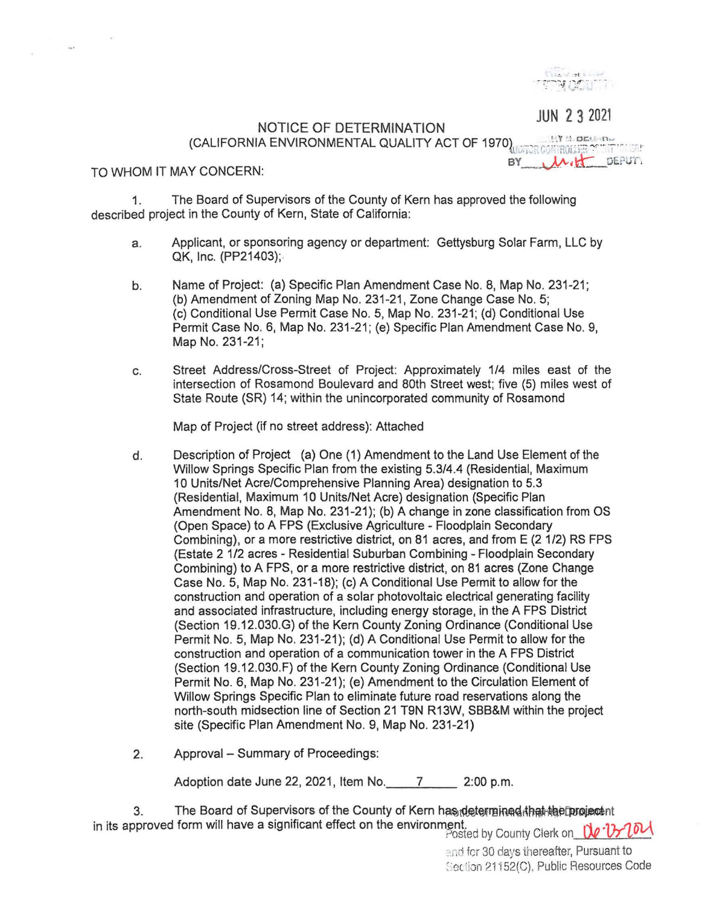

**JUN 2 3** 2021

## NOTICE OF DETERMINATION (CALIFORNIA ENVIRONMENTAL QUALITY ACT OF 1970)<br>TO WHOM IT MAY CONCERN: میں بندا یو PTO WHOM IT MAY CONCERN:

 $\omega_{\rm B}$  is

1. The Board of Supervisors of the County of Kern has approved the following described project in the County of Kern, State of California:

- a. Applicant, or sponsoring agency or department: Gettysburg Solar Farm, LLC by QK, Inc. (PP21403);.
- b. Name of Project: (a) Specific Plan Amendment Case No. 8, Map No. 231-21; (b) Amendment of Zoning Map No. 231-21 , Zone Change Case No. 5; (c) Conditional Use Permit Case No. 5, Map No. 231-21 ; (d) Conditional Use Permit Case No. 6, Map No. 231-21 ; (e) Specific Plan Amendment Case No. 9, Map No. 231-21;
- c. Street Address/Cross-Street of Project: Approximately 1/4 miles east of the intersection of Rosamond Boulevard and 80th Street west; five (5) miles west of State Route (SR) 14; within the unincorporated community of Rosamond

Map of Project (if no street address): Attached

- d. Description of Project (a) One (1) Amendment to the Land Use Element of the Willow Springs Specific Plan from the existing 5.3/4.4 (Residential, Maximum 10 Units/Net Acre/Comprehensive Planning Area) designation to 5.3 (Residential, Maximum 10 Units/Net Acre) designation (Specific Plan Amendment No. 8, Map No. 231-21); (b) A change in zone classification from OS (Open Space) to A FPS (Exclusive Agriculture - Floodplain Secondary Combining), or a more restrictive district, on 81 acres, and from E (2 1/2) RS FPS (Estate 2 1/2 acres - Residential Suburban Combining - Floodplain Secondary Combining) to A FPS, or a more restrictive district, on 81 acres (Zone Change Case No. 5, Map No. 231-18); (c) A Conditional Use Permit to allow for the construction and operation of a solar photovoltaic electrical generating facility and associated infrastructure, including energy storage, in the A FPS District (Section 19.12.030.G) of the Kern County Zoning Ordinance (Conditional Use Permit No. 5, Map No. 231-21); (d) A Conditional Use Permit to allow for the construction and operation of a communication tower in the A FPS District (Section 19.12.030.F) of the Kern County Zoning Ordinance (Conditional Use Permit No. 6, Map No. 231-21); (e) Amendment to the Circulation Element of Willow Springs Specific Plan to eliminate future road reservations along the north-south midsection line of Section 21 T9N R13W, SBB&M within the project site (Specific Plan Amendment No. 9, Map No. 231-21)
- 2. Approval Summary of Proceedings:

Adoption date June 22, 2021, Item No. 7 \_\_\_\_\_ 2:00 p.m.

3. The Board of Supervisors of the County of Kern has determined that the project of in its approved form will have a significant effect on the environment.<br>Posted by County Clerk on. De Dr. 1,200